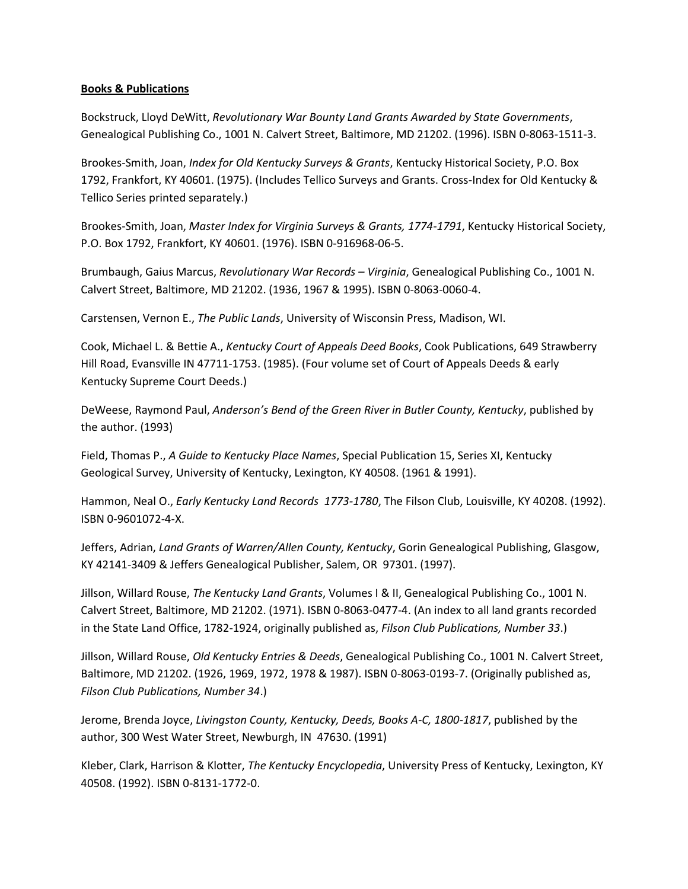## **Books & Publications**

Bockstruck, Lloyd DeWitt, *Revolutionary War Bounty Land Grants Awarded by State Governments*, Genealogical Publishing Co., 1001 N. Calvert Street, Baltimore, MD 21202. (1996). ISBN 0-8063-1511-3.

Brookes-Smith, Joan, *Index for Old Kentucky Surveys & Grants*, Kentucky Historical Society, P.O. Box 1792, Frankfort, KY 40601. (1975). (Includes Tellico Surveys and Grants. Cross-Index for Old Kentucky & Tellico Series printed separately.)

Brookes-Smith, Joan, *Master Index for Virginia Surveys & Grants, 1774-1791*, Kentucky Historical Society, P.O. Box 1792, Frankfort, KY 40601. (1976). ISBN 0-916968-06-5.

Brumbaugh, Gaius Marcus, *Revolutionary War Records – Virginia*, Genealogical Publishing Co., 1001 N. Calvert Street, Baltimore, MD 21202. (1936, 1967 & 1995). ISBN 0-8063-0060-4.

Carstensen, Vernon E., *The Public Lands*, University of Wisconsin Press, Madison, WI.

Cook, Michael L. & Bettie A., *Kentucky Court of Appeals Deed Books*, Cook Publications, 649 Strawberry Hill Road, Evansville IN 47711-1753. (1985). (Four volume set of Court of Appeals Deeds & early Kentucky Supreme Court Deeds.)

DeWeese, Raymond Paul, *Anderson's Bend of the Green River in Butler County, Kentucky*, published by the author. (1993)

Field, Thomas P., *A Guide to Kentucky Place Names*, Special Publication 15, Series XI, Kentucky Geological Survey, University of Kentucky, Lexington, KY 40508. (1961 & 1991).

Hammon, Neal O., *Early Kentucky Land Records 1773-1780*, The Filson Club, Louisville, KY 40208. (1992). ISBN 0-9601072-4-X.

Jeffers, Adrian, *Land Grants of Warren/Allen County, Kentucky*, Gorin Genealogical Publishing, Glasgow, KY 42141-3409 & Jeffers Genealogical Publisher, Salem, OR 97301. (1997).

Jillson, Willard Rouse, *The Kentucky Land Grants*, Volumes I & II, Genealogical Publishing Co., 1001 N. Calvert Street, Baltimore, MD 21202. (1971). ISBN 0-8063-0477-4. (An index to all land grants recorded in the State Land Office, 1782-1924, originally published as, *Filson Club Publications, Number 33*.)

Jillson, Willard Rouse, *Old Kentucky Entries & Deeds*, Genealogical Publishing Co., 1001 N. Calvert Street, Baltimore, MD 21202. (1926, 1969, 1972, 1978 & 1987). ISBN 0-8063-0193-7. (Originally published as, *Filson Club Publications, Number 34*.)

Jerome, Brenda Joyce, *Livingston County, Kentucky, Deeds, Books A-C, 1800-1817*, published by the author, 300 West Water Street, Newburgh, IN 47630. (1991)

Kleber, Clark, Harrison & Klotter, *The Kentucky Encyclopedia*, University Press of Kentucky, Lexington, KY 40508. (1992). ISBN 0-8131-1772-0.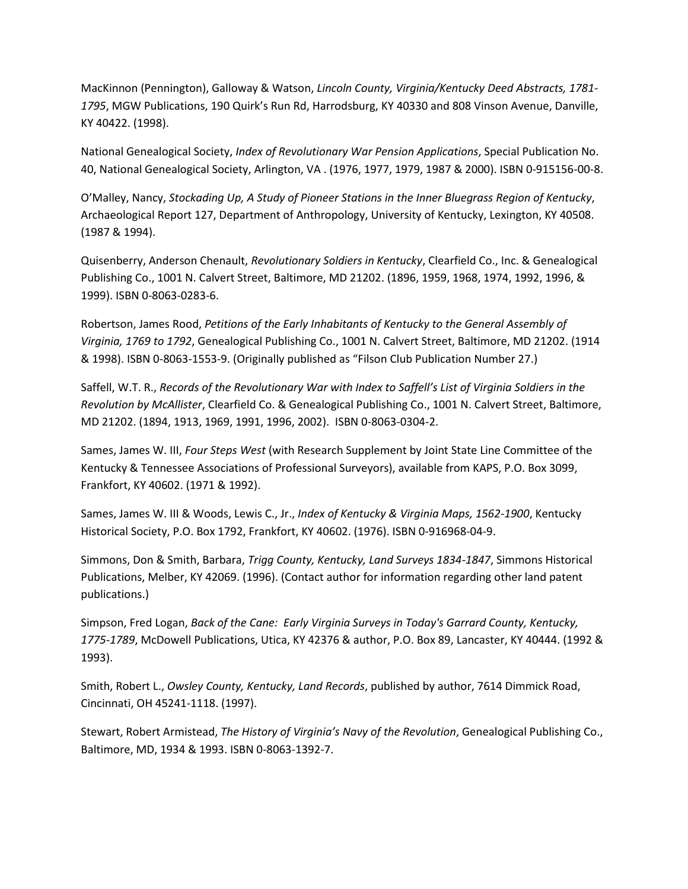MacKinnon (Pennington), Galloway & Watson, *Lincoln County, Virginia/Kentucky Deed Abstracts, 1781- 1795*, MGW Publications, 190 Quirk's Run Rd, Harrodsburg, KY 40330 and 808 Vinson Avenue, Danville, KY 40422. (1998).

National Genealogical Society, *Index of Revolutionary War Pension Applications*, Special Publication No. 40, National Genealogical Society, Arlington, VA . (1976, 1977, 1979, 1987 & 2000). ISBN 0-915156-00-8.

O'Malley, Nancy, *Stockading Up, A Study of Pioneer Stations in the Inner Bluegrass Region of Kentucky*, Archaeological Report 127, Department of Anthropology, University of Kentucky, Lexington, KY 40508. (1987 & 1994).

Quisenberry, Anderson Chenault, *Revolutionary Soldiers in Kentucky*, Clearfield Co., Inc. & Genealogical Publishing Co., 1001 N. Calvert Street, Baltimore, MD 21202. (1896, 1959, 1968, 1974, 1992, 1996, & 1999). ISBN 0-8063-0283-6.

Robertson, James Rood, *Petitions of the Early Inhabitants of Kentucky to the General Assembly of Virginia, 1769 to 1792*, Genealogical Publishing Co., 1001 N. Calvert Street, Baltimore, MD 21202. (1914 & 1998). ISBN 0-8063-1553-9. (Originally published as "Filson Club Publication Number 27.)

Saffell, W.T. R., *Records of the Revolutionary War with Index to Saffell's List of Virginia Soldiers in the Revolution by McAllister*, Clearfield Co. & Genealogical Publishing Co., 1001 N. Calvert Street, Baltimore, MD 21202. (1894, 1913, 1969, 1991, 1996, 2002). ISBN 0-8063-0304-2.

Sames, James W. III, *Four Steps West* (with Research Supplement by Joint State Line Committee of the Kentucky & Tennessee Associations of Professional Surveyors), available from KAPS, P.O. Box 3099, Frankfort, KY 40602. (1971 & 1992).

Sames, James W. III & Woods, Lewis C., Jr., *Index of Kentucky & Virginia Maps, 1562-1900*, Kentucky Historical Society, P.O. Box 1792, Frankfort, KY 40602. (1976). ISBN 0-916968-04-9.

Simmons, Don & Smith, Barbara, *Trigg County, Kentucky, Land Surveys 1834-1847*, Simmons Historical Publications, Melber, KY 42069. (1996). (Contact author for information regarding other land patent publications.)

Simpson, Fred Logan, *Back of the Cane: Early Virginia Surveys in Today's Garrard County, Kentucky, 1775-1789*, McDowell Publications, Utica, KY 42376 & author, P.O. Box 89, Lancaster, KY 40444. (1992 & 1993).

Smith, Robert L., *Owsley County, Kentucky, Land Records*, published by author, 7614 Dimmick Road, Cincinnati, OH 45241-1118. (1997).

Stewart, Robert Armistead, *The History of Virginia's Navy of the Revolution*, Genealogical Publishing Co., Baltimore, MD, 1934 & 1993. ISBN 0-8063-1392-7.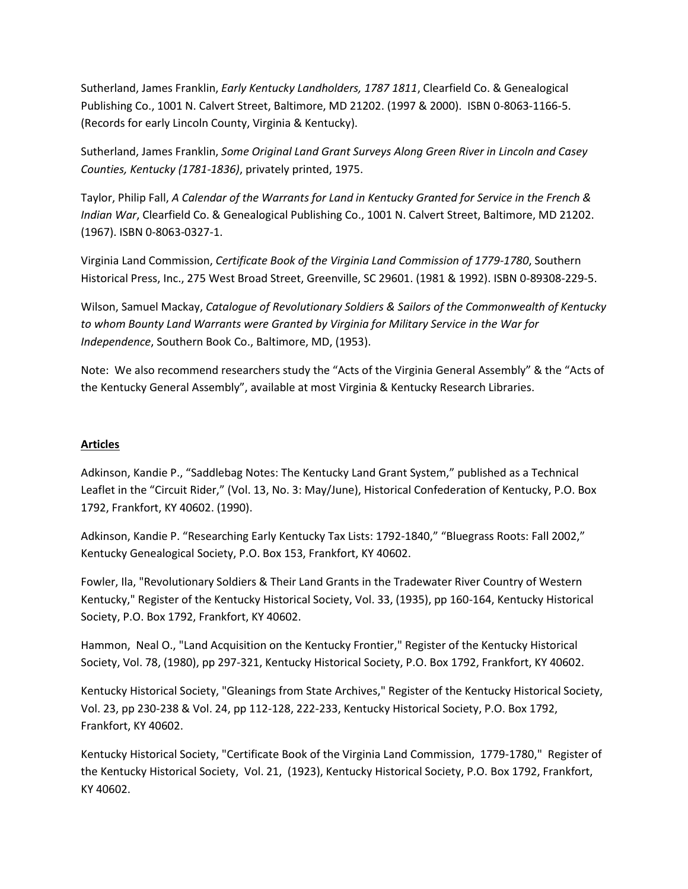Sutherland, James Franklin, *Early Kentucky Landholders, 1787 1811*, Clearfield Co. & Genealogical Publishing Co., 1001 N. Calvert Street, Baltimore, MD 21202. (1997 & 2000). ISBN 0-8063-1166-5. (Records for early Lincoln County, Virginia & Kentucky).

Sutherland, James Franklin, *Some Original Land Grant Surveys Along Green River in Lincoln and Casey Counties, Kentucky (1781-1836)*, privately printed, 1975.

Taylor, Philip Fall, *A Calendar of the Warrants for Land in Kentucky Granted for Service in the French & Indian War*, Clearfield Co. & Genealogical Publishing Co., 1001 N. Calvert Street, Baltimore, MD 21202. (1967). ISBN 0-8063-0327-1.

Virginia Land Commission, *Certificate Book of the Virginia Land Commission of 1779-1780*, Southern Historical Press, Inc., 275 West Broad Street, Greenville, SC 29601. (1981 & 1992). ISBN 0-89308-229-5.

Wilson, Samuel Mackay, *Catalogue of Revolutionary Soldiers & Sailors of the Commonwealth of Kentucky to whom Bounty Land Warrants were Granted by Virginia for Military Service in the War for Independence*, Southern Book Co., Baltimore, MD, (1953).

Note: We also recommend researchers study the "Acts of the Virginia General Assembly" & the "Acts of the Kentucky General Assembly", available at most Virginia & Kentucky Research Libraries.

# **Articles**

Adkinson, Kandie P., "Saddlebag Notes: The Kentucky Land Grant System," published as a Technical Leaflet in the "Circuit Rider," (Vol. 13, No. 3: May/June), Historical Confederation of Kentucky, P.O. Box 1792, Frankfort, KY 40602. (1990).

Adkinson, Kandie P. "Researching Early Kentucky Tax Lists: 1792-1840," "Bluegrass Roots: Fall 2002," Kentucky Genealogical Society, P.O. Box 153, Frankfort, KY 40602.

Fowler, Ila, "Revolutionary Soldiers & Their Land Grants in the Tradewater River Country of Western Kentucky," Register of the Kentucky Historical Society, Vol. 33, (1935), pp 160-164, Kentucky Historical Society, P.O. Box 1792, Frankfort, KY 40602.

Hammon, Neal O., "Land Acquisition on the Kentucky Frontier," Register of the Kentucky Historical Society, Vol. 78, (1980), pp 297-321, Kentucky Historical Society, P.O. Box 1792, Frankfort, KY 40602.

Kentucky Historical Society, "Gleanings from State Archives," Register of the Kentucky Historical Society, Vol. 23, pp 230-238 & Vol. 24, pp 112-128, 222-233, Kentucky Historical Society, P.O. Box 1792, Frankfort, KY 40602.

Kentucky Historical Society, "Certificate Book of the Virginia Land Commission, 1779-1780," Register of the Kentucky Historical Society, Vol. 21, (1923), Kentucky Historical Society, P.O. Box 1792, Frankfort, KY 40602.